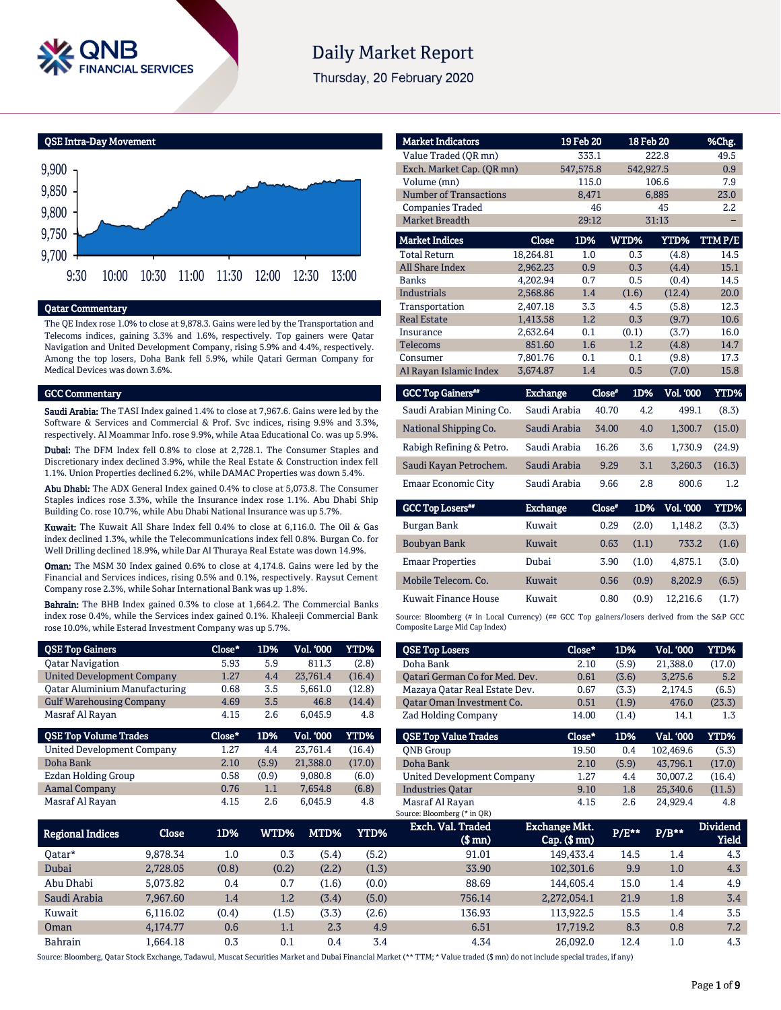

# **Daily Market Report**

Thursday, 20 February 2020

QSE Intra-Day Movement



## Qatar Commentary

The QE Index rose 1.0% to close at 9,878.3. Gains were led by the Transportation and Telecoms indices, gaining 3.3% and 1.6%, respectively. Top gainers were Qatar Navigation and United Development Company, rising 5.9% and 4.4%, respectively. Among the top losers, Doha Bank fell 5.9%, while Qatari German Company for Medical Devices was down 3.6%.

### GCC Commentary

Saudi Arabia: The TASI Index gained 1.4% to close at 7,967.6. Gains were led by the Software & Services and Commercial & Prof. Svc indices, rising 9.9% and 3.3%, respectively. Al Moammar Info. rose 9.9%, while Ataa Educational Co. was up 5.9%.

Dubai: The DFM Index fell 0.8% to close at 2,728.1. The Consumer Staples and Discretionary index declined 3.9%, while the Real Estate & Construction index fell 1.1%. Union Properties declined 6.2%, while DAMAC Properties was down 5.4%.

Abu Dhabi: The ADX General Index gained 0.4% to close at 5,073.8. The Consumer Staples indices rose 3.3%, while the Insurance index rose 1.1%. Abu Dhabi Ship Building Co. rose 10.7%, while Abu Dhabi National Insurance was up 5.7%.

Kuwait: The Kuwait All Share Index fell 0.4% to close at 6,116.0. The Oil & Gas index declined 1.3%, while the Telecommunications index fell 0.8%. Burgan Co. for Well Drilling declined 18.9%, while Dar Al Thuraya Real Estate was down 14.9%.

Oman: The MSM 30 Index gained 0.6% to close at 4,174.8. Gains were led by the Financial and Services indices, rising 0.5% and 0.1%, respectively. Raysut Cement Company rose 2.3%, while Sohar International Bank was up 1.8%.

Bahrain: The BHB Index gained 0.3% to close at 1,664.2. The Commercial Banks index rose 0.4%, while the Services index gained 0.1%. Khaleeji Commercial Bank rose 10.0%, while Esterad Investment Company was up 5.7%.

| <b>QSE Top Gainers</b>               | Close* | 1D%   | Vol. 000  | <b>YTD%</b> |
|--------------------------------------|--------|-------|-----------|-------------|
| <b>Oatar Navigation</b>              | 5.93   | 5.9   | 811.3     | (2.8)       |
| <b>United Development Company</b>    | 1.27   | 4.4   | 23.761.4  | (16.4)      |
| <b>Qatar Aluminium Manufacturing</b> | 0.68   | 3.5   | 5,661.0   | (12.8)      |
| <b>Gulf Warehousing Company</b>      | 4.69   | 3.5   | 46.8      | (14.4)      |
| Masraf Al Rayan                      | 4.15   | 2.6   | 6.045.9   | 4.8         |
|                                      |        |       |           |             |
| <b>QSE Top Volume Trades</b>         | Close* | 1D%   | Vol. '000 | YTD%        |
| <b>United Development Company</b>    | 1.27   | 4.4   | 23.761.4  | (16.4)      |
| Doha Bank                            | 2.10   | (5.9) | 21,388.0  | (17.0)      |
| <b>Ezdan Holding Group</b>           | 0.58   | (0.9) | 9.080.8   | (6.0)       |
| <b>Aamal Company</b>                 | 0.76   | 1.1   | 7,654.8   | (6.8)       |

| <b>Market Indicators</b>             |                 | 19 Feb 20 |                    | 18 Feb 20 | %Chg.       |
|--------------------------------------|-----------------|-----------|--------------------|-----------|-------------|
| Value Traded (OR mn)                 |                 | 333.1     |                    | 222.8     | 49.5        |
| Exch. Market Cap. (QR mn)            |                 | 547,575.8 |                    | 542,927.5 | 0.9         |
| Volume (mn)                          |                 | 115.0     |                    | 106.6     | 7.9         |
| <b>Number of Transactions</b>        |                 | 8,471     |                    | 6,885     | 23.0        |
| <b>Companies Traded</b>              |                 | 46        |                    | 45        | 2.2         |
| <b>Market Breadth</b>                |                 | 29:12     |                    | 31:13     |             |
| <b>Market Indices</b>                | <b>Close</b>    | 1D%       | WTD%               | YTD%      | TTMP/E      |
| <b>Total Return</b>                  | 18.264.81       | 1.0       | 0.3                | (4.8)     | 14.5        |
| <b>All Share Index</b>               | 2,962.23        | 0.9       | 0.3                | (4.4)     | 15.1        |
| <b>Banks</b>                         | 4,202.94        | 0.7       | 0.5                | (0.4)     | 14.5        |
| <b>Industrials</b>                   | 2,568.86        | 1.4       | (1.6)              | (12.4)    | 20.0        |
| Transportation                       | 2,407.18        | 3.3       | 4.5                | (5.8)     | 12.3        |
| <b>Real Estate</b>                   | 1.413.58        | 1.2       | 0.3                | (9.7)     | 10.6        |
| Insurance                            | 2,632.64        | 0.1       | (0.1)              | (3.7)     | 16.0        |
| <b>Telecoms</b>                      | 851.60          | 1.6       | 1.2                | (4.8)     | 14.7        |
| Consumer                             | 7,801.76        | 0.1       | 0.1                | (9.8)     | 17.3        |
| Al Rayan Islamic Index               | 3,674.87        | 1.4       | 0.5                | (7.0)     | 15.8        |
| $C C C$ Tan $C$ oimean $\mathcal{H}$ | <b>Dualiana</b> |           | $C1$ aaa#<br>1 DOZ | $T1$ mon  | <b>VTDA</b> |

| <b>GCC Top Gainers**</b>   | <b>Exchange</b> | Close* | 1D% | <b>Vol. '000</b> | YTD%   |
|----------------------------|-----------------|--------|-----|------------------|--------|
| Saudi Arabian Mining Co.   | Saudi Arabia    | 40.70  | 4.2 | 499.1            | (8.3)  |
| National Shipping Co.      | Saudi Arabia    | 34.00  | 4.0 | 1.300.7          | (15.0) |
| Rabigh Refining & Petro.   | Saudi Arabia    | 16.26  | 3.6 | 1.730.9          | (24.9) |
| Saudi Kayan Petrochem.     | Saudi Arabia    | 9.29   | 3.1 | 3.260.3          | (16.3) |
| <b>Emaar Economic City</b> | Saudi Arabia    | 9.66   | 2.8 | 800.6            | 1.2.   |
|                            |                 |        |     |                  |        |

| <b>GCC Top Losers</b>   | <b>Exchange</b> | Close* | 1D%   | <b>Vol. '000</b> | YTD%  |
|-------------------------|-----------------|--------|-------|------------------|-------|
| Burgan Bank             | Kuwait          | 0.29   | (2.0) | 1.148.2          | (3.3) |
| <b>Boubyan Bank</b>     | Kuwait          | 0.63   | (1.1) | 733.2            | (1.6) |
| <b>Emaar Properties</b> | Dubai           | 3.90   | (1.0) | 4.875.1          | (3.0) |
| Mobile Telecom. Co.     | Kuwait          | 0.56   | (0.9) | 8.202.9          | (6.5) |
| Kuwait Finance House    | Kuwait          | 0.80   | (0.9) | 12.216.6         | (1.7) |

Source: Bloomberg (# in Local Currency) (## GCC Top gainers/losers derived from the S&P GCC Composite Large Mid Cap Index)

| <b>QSE Top Losers</b>             | Close* | 1D%   | <b>Vol. '000</b> | YTD%   |
|-----------------------------------|--------|-------|------------------|--------|
| Doha Bank                         | 2.10   | (5.9) | 21.388.0         | (17.0) |
| Oatari German Co for Med. Dev.    | 0.61   | (3.6) | 3.275.6          | 5.2    |
| Mazaya Qatar Real Estate Dev.     | 0.67   | (3.3) | 2,174.5          | (6.5)  |
| Oatar Oman Investment Co.         | 0.51   | (1.9) | 476.0            | (23.3) |
| <b>Zad Holding Company</b>        | 14.00  | (1.4) | 14.1             | 1.3    |
|                                   |        |       |                  |        |
|                                   |        |       |                  |        |
| <b>OSE Top Value Trades</b>       | Close* | 1D%   | Val. '000        | YTD%   |
| <b>ONB</b> Group                  | 19.50  | 0.4   | 102.469.6        | (5.3)  |
| Doha Bank                         | 2.10   | (5.9) | 43.796.1         | (17.0) |
| <b>United Development Company</b> | 1.27   | 4.4   | 30.007.2         | (16.4) |
| <b>Industries Oatar</b>           | 9.10   | 1.8   | 25,340.6         | (11.5) |

| Regional Indices | Close    | 1D%     | WTD%    | MTD%  | YTD%  | Exch. Val. Traded<br>$(S \text{ mn})$ | <b>Exchange Mkt.</b><br>$Cap.$ ( $$rm)$ ) | P/E** | $P/B**$ | <b>Dividend</b><br><b>Yield</b> |
|------------------|----------|---------|---------|-------|-------|---------------------------------------|-------------------------------------------|-------|---------|---------------------------------|
| 0atar*           | 9.878.34 | $1.0\,$ | 0.3     | (5.4) | (5.2) | 91.01                                 | 149.433.4                                 | 14.5  | 1.4     | 4.3                             |
| Dubai            | 2.728.05 | (0.8)   | (0.2)   | (2.2) | (1.3) | 33.90                                 | 102.301.6                                 | 9.9   | 1.0     | 4.3                             |
| Abu Dhabi        | 5.073.82 | 0.4     | 0.7     | (1.6) | (0.0) | 88.69                                 | 144.605.4                                 | 15.0  | 1.4     | 4.9                             |
| Saudi Arabia     | 7.967.60 | 1.4     | 1.2     | (3.4) | (5.0) | 756.14                                | 2.272.054.1                               | 21.9  | 1.8     | 3.4                             |
| Kuwait           | 6.116.02 | (0.4)   | (1.5)   | (3.3) | (2.6) | 136.93                                | 113.922.5                                 | 15.5  | 1.4     | 3.5                             |
| Oman             | 4.174.77 | 0.6     | $1.1\,$ | 2.3   | 4.9   | 6.51                                  | 17.719.2                                  | 8.3   | 0.8     | 7.2                             |
| <b>Bahrain</b>   | 1.664.18 | 0.3     | 0.1     | 0.4   | 3.4   | 4.34                                  | 26.092.0                                  | 12.4  | 1.0     | 4.3                             |

Source: Bloomberg, Qatar Stock Exchange, Tadawul, Muscat Securities Market and Dubai Financial Market (\*\* TTM; \* Value traded (\$ mn) do not include special trades, if any)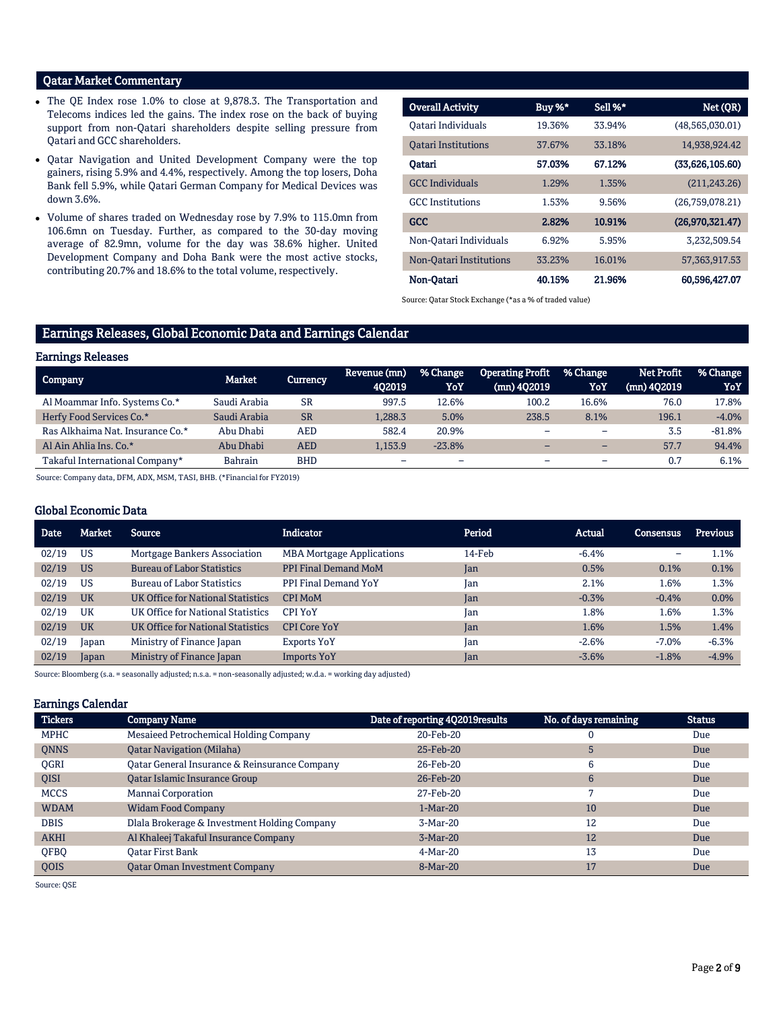## Qatar Market Commentary

- The QE Index rose 1.0% to close at 9,878.3. The Transportation and Telecoms indices led the gains. The index rose on the back of buying support from non-Qatari shareholders despite selling pressure from Qatari and GCC shareholders.
- Qatar Navigation and United Development Company were the top gainers, rising 5.9% and 4.4%, respectively. Among the top losers, Doha Bank fell 5.9%, while Qatari German Company for Medical Devices was down 3.6%.
- Volume of shares traded on Wednesday rose by 7.9% to 115.0mn from 106.6mn on Tuesday. Further, as compared to the 30-day moving average of 82.9mn, volume for the day was 38.6% higher. United Development Company and Doha Bank were the most active stocks, contributing 20.7% and 18.6% to the total volume, respectively.

| <b>Overall Activity</b>    | Buy %* | Sell %* | Net (QR)         |
|----------------------------|--------|---------|------------------|
| Oatari Individuals         | 19.36% | 33.94%  | (48,565,030.01)  |
| <b>Oatari Institutions</b> | 37.67% | 33.18%  | 14,938,924.42    |
| Oatari                     | 57.03% | 67.12%  | (33,626,105.60)  |
| <b>GCC</b> Individuals     | 1.29%  | 1.35%   | (211, 243.26)    |
| <b>GCC</b> Institutions    | 1.53%  | 9.56%   | (26,759,078.21)  |
| <b>GCC</b>                 | 2.82%  | 10.91%  | (26,970,321.47)  |
| Non-Oatari Individuals     | 6.92%  | 5.95%   | 3.232.509.54     |
| Non-Oatari Institutions    | 33.23% | 16.01%  | 57, 363, 917. 53 |
| Non-Oatari                 | 40.15% | 21.96%  | 60.596,427.07    |

Source: Qatar Stock Exchange (\*as a % of traded value)

## Earnings Releases, Global Economic Data and Earnings Calendar

## Earnings Releases

| Company                          | Market       | Currency   | Revenue (mn)             | % Change | <b>Operating Profit</b> | % Change                 | <b>Net Profit</b> | % Change |
|----------------------------------|--------------|------------|--------------------------|----------|-------------------------|--------------------------|-------------------|----------|
|                                  |              |            | 402019                   | YoY      | (mn) 402019             | YoY                      | (mn) 402019       | YoY      |
| Al Moammar Info. Systems Co.*    | Saudi Arabia | <b>SR</b>  | 997.5                    | 12.6%    | 100.2                   | 16.6%                    | 76.0              | 17.8%    |
| Herfy Food Services Co.*         | Saudi Arabia | <b>SR</b>  | 1,288.3                  | 5.0%     | 238.5                   | 8.1%                     | 196.1             | $-4.0%$  |
| Ras Alkhaima Nat. Insurance Co.* | Abu Dhabi    | AED        | 582.4                    | 20.9%    |                         | $\overline{\phantom{0}}$ | 3.5               | $-81.8%$ |
| Al Ain Ahlia Ins. Co.*           | Abu Dhabi    | <b>AED</b> | 1.153.9                  | $-23.8%$ |                         | $\overline{\phantom{0}}$ | 57.7              | 94.4%    |
| Takaful International Company*   | Bahrain      | <b>BHD</b> | $\overline{\phantom{0}}$ | -        | -                       | $\overline{\phantom{0}}$ | 0.7               | 6.1%     |
|                                  |              |            |                          |          |                         |                          |                   |          |

Source: Company data, DFM, ADX, MSM, TASI, BHB. (\*Financial for FY2019)

## Global Economic Data

| <b>Date</b> | <b>Market</b> | Source                              | <b>Indicator</b>                 | Period | Actual  | Consensus | <b>Previous</b> |
|-------------|---------------|-------------------------------------|----------------------------------|--------|---------|-----------|-----------------|
| 02/19       | <b>US</b>     | <b>Mortgage Bankers Association</b> | <b>MBA Mortgage Applications</b> | 14-Feb | $-6.4%$ | -         | 1.1%            |
| 02/19       | <b>US</b>     | <b>Bureau of Labor Statistics</b>   | <b>PPI Final Demand MoM</b>      | Jan    | 0.5%    | 0.1%      | 0.1%            |
| 02/19       | US            | <b>Bureau of Labor Statistics</b>   | PPI Final Demand YoY             | Jan    | 2.1%    | 1.6%      | 1.3%            |
| 02/19       | UK            | UK Office for National Statistics   | <b>CPI MoM</b>                   | Jan    | $-0.3%$ | $-0.4%$   | 0.0%            |
| 02/19       | UK            | UK Office for National Statistics   | <b>CPI YoY</b>                   | Jan    | 1.8%    | 1.6%      | 1.3%            |
| 02/19       | <b>UK</b>     | UK Office for National Statistics   | <b>CPI Core YoY</b>              | Jan    | 1.6%    | 1.5%      | 1.4%            |
| 02/19       | Japan         | Ministry of Finance Japan           | Exports YoY                      | Jan    | $-2.6%$ | $-7.0%$   | $-6.3%$         |
| 02/19       | Japan         | Ministry of Finance Japan           | <b>Imports YoY</b>               | Jan    | $-3.6%$ | $-1.8%$   | $-4.9%$         |

Source: Bloomberg (s.a. = seasonally adjusted; n.s.a. = non-seasonally adjusted; w.d.a. = working day adjusted)

### Earnings Calendar

| <b>Tickers</b> | <b>Company Name</b>                           | Date of reporting 4Q2019results | No. of days remaining | <b>Status</b> |
|----------------|-----------------------------------------------|---------------------------------|-----------------------|---------------|
| <b>MPHC</b>    | Mesaieed Petrochemical Holding Company        | 20-Feb-20                       | 0                     | Due           |
| <b>ONNS</b>    | <b>Qatar Navigation (Milaha)</b>              | 25-Feb-20                       | h                     | Due           |
| <b>OGRI</b>    | Oatar General Insurance & Reinsurance Company | 26-Feb-20                       | 6                     | Due           |
| <b>OISI</b>    | <b>Oatar Islamic Insurance Group</b>          | 26-Feb-20                       | 6                     | Due           |
| <b>MCCS</b>    | Mannai Corporation                            | 27-Feb-20                       | 7                     | Due           |
| <b>WDAM</b>    | <b>Widam Food Company</b>                     | $1-Mar-20$                      | 10                    | Due           |
| <b>DBIS</b>    | Dlala Brokerage & Investment Holding Company  | 3-Mar-20                        | 12                    | Due           |
| <b>AKHI</b>    | Al Khaleej Takaful Insurance Company          | $3-Mar-20$                      | 12                    | Due           |
| QFBQ           | Oatar First Bank                              | 4-Mar-20                        | 13                    | Due           |
| <b>OOIS</b>    | <b>Qatar Oman Investment Company</b>          | 8-Mar-20                        | 17                    | Due           |

Source: QSE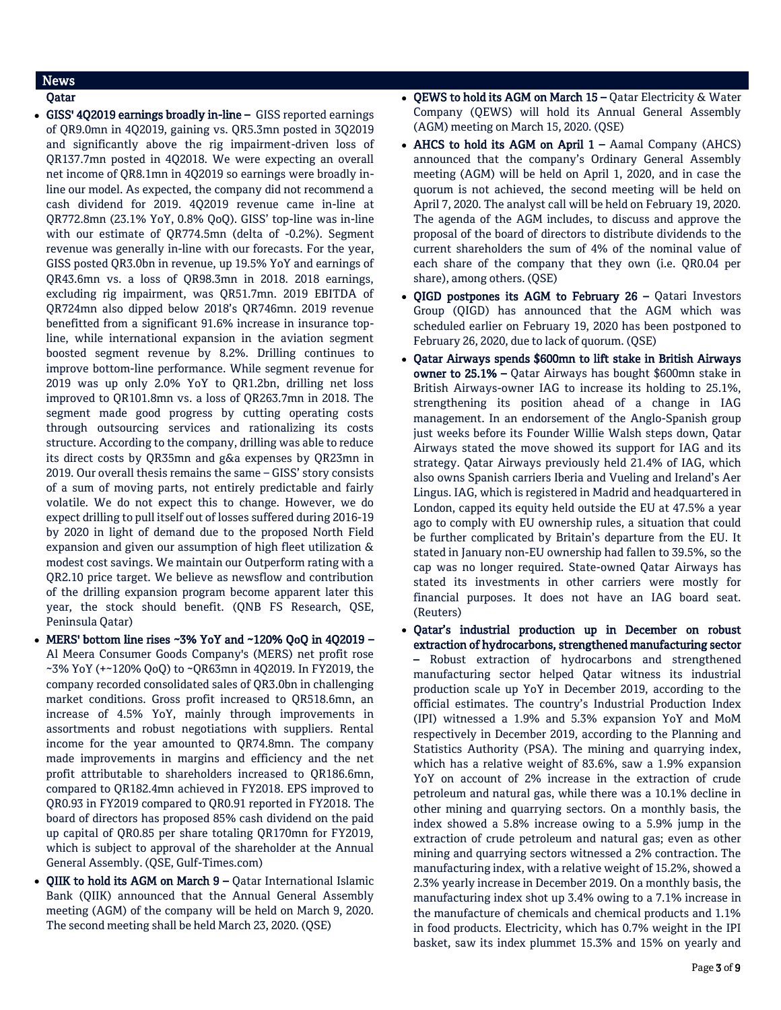## News

- GISS' 4Q2019 earnings broadly in-line GISS reported earnings of QR9.0mn in 4Q2019, gaining vs. QR5.3mn posted in 3Q2019 and significantly above the rig impairment-driven loss of QR137.7mn posted in 4Q2018. We were expecting an overall net income of QR8.1mn in 4Q2019 so earnings were broadly inline our model. As expected, the company did not recommend a cash dividend for 2019. 4Q2019 revenue came in-line at QR772.8mn (23.1% YoY, 0.8% QoQ). GISS' top-line was in-line with our estimate of QR774.5mn (delta of -0.2%). Segment revenue was generally in-line with our forecasts. For the year, GISS posted QR3.0bn in revenue, up 19.5% YoY and earnings of QR43.6mn vs. a loss of QR98.3mn in 2018. 2018 earnings, excluding rig impairment, was QR51.7mn. 2019 EBITDA of QR724mn also dipped below 2018's QR746mn. 2019 revenue benefitted from a significant 91.6% increase in insurance topline, while international expansion in the aviation segment boosted segment revenue by 8.2%. Drilling continues to improve bottom-line performance. While segment revenue for 2019 was up only 2.0% YoY to QR1.2bn, drilling net loss improved to QR101.8mn vs. a loss of QR263.7mn in 2018. The segment made good progress by cutting operating costs through outsourcing services and rationalizing its costs structure. According to the company, drilling was able to reduce its direct costs by QR35mn and g&a expenses by QR23mn in 2019. Our overall thesis remains the same – GISS' story consists of a sum of moving parts, not entirely predictable and fairly volatile. We do not expect this to change. However, we do expect drilling to pull itself out of losses suffered during 2016-19 by 2020 in light of demand due to the proposed North Field expansion and given our assumption of high fleet utilization & modest cost savings. We maintain our Outperform rating with a QR2.10 price target. We believe as newsflow and contribution of the drilling expansion program become apparent later this year, the stock should benefit. (QNB FS Research, QSE, Peninsula Qatar)
- MERS' bottom line rises ~3% YoY and ~120% QoQ in 4Q2019 Al Meera Consumer Goods Company's (MERS) net profit rose ~3% YoY (+~120% QoQ) to ~QR63mn in 4Q2019. In FY2019, the company recorded consolidated sales of QR3.0bn in challenging market conditions. Gross profit increased to QR518.6mn, an increase of 4.5% YoY, mainly through improvements in assortments and robust negotiations with suppliers. Rental income for the year amounted to QR74.8mn. The company made improvements in margins and efficiency and the net profit attributable to shareholders increased to QR186.6mn, compared to QR182.4mn achieved in FY2018. EPS improved to QR0.93 in FY2019 compared to QR0.91 reported in FY2018. The board of directors has proposed 85% cash dividend on the paid up capital of QR0.85 per share totaling QR170mn for FY2019, which is subject to approval of the shareholder at the Annual General Assembly. (QSE, Gulf-Times.com)
- QIIK to hold its AGM on March 9 Qatar International Islamic Bank (QIIK) announced that the Annual General Assembly meeting (AGM) of the company will be held on March 9, 2020. The second meeting shall be held March 23, 2020. (QSE)
- QEWS to hold its AGM on March 15 Qatar Electricity & Water Company (QEWS) will hold its Annual General Assembly (AGM) meeting on March 15, 2020. (QSE)
- AHCS to hold its AGM on April  $1 -$  Aamal Company (AHCS) announced that the company's Ordinary General Assembly meeting (AGM) will be held on April 1, 2020, and in case the quorum is not achieved, the second meeting will be held on April 7, 2020. The analyst call will be held on February 19, 2020. The agenda of the AGM includes, to discuss and approve the proposal of the board of directors to distribute dividends to the current shareholders the sum of 4% of the nominal value of each share of the company that they own (i.e. QR0.04 per share), among others. (QSE)
- QIGD postpones its AGM to February  $26 -$  Qatari Investors Group (QIGD) has announced that the AGM which was scheduled earlier on February 19, 2020 has been postponed to February 26, 2020, due to lack of quorum. (QSE)
- Qatar Airways spends \$600mn to lift stake in British Airways owner to 25.1% – Qatar Airways has bought \$600mn stake in British Airways-owner IAG to increase its holding to 25.1%, strengthening its position ahead of a change in IAG management. In an endorsement of the Anglo-Spanish group just weeks before its Founder Willie Walsh steps down, Qatar Airways stated the move showed its support for IAG and its strategy. Qatar Airways previously held 21.4% of IAG, which also owns Spanish carriers Iberia and Vueling and Ireland's Aer Lingus. IAG, which is registered in Madrid and headquartered in London, capped its equity held outside the EU at 47.5% a year ago to comply with EU ownership rules, a situation that could be further complicated by Britain's departure from the EU. It stated in January non-EU ownership had fallen to 39.5%, so the cap was no longer required. State-owned Qatar Airways has stated its investments in other carriers were mostly for financial purposes. It does not have an IAG board seat. (Reuters)
- Qatar's industrial production up in December on robust extraction of hydrocarbons, strengthened manufacturing sector – Robust extraction of hydrocarbons and strengthened manufacturing sector helped Qatar witness its industrial production scale up YoY in December 2019, according to the official estimates. The country's Industrial Production Index (IPI) witnessed a 1.9% and 5.3% expansion YoY and MoM respectively in December 2019, according to the Planning and Statistics Authority (PSA). The mining and quarrying index, which has a relative weight of 83.6%, saw a 1.9% expansion YoY on account of 2% increase in the extraction of crude petroleum and natural gas, while there was a 10.1% decline in other mining and quarrying sectors. On a monthly basis, the index showed a 5.8% increase owing to a 5.9% jump in the extraction of crude petroleum and natural gas; even as other mining and quarrying sectors witnessed a 2% contraction. The manufacturing index, with a relative weight of 15.2%, showed a 2.3% yearly increase in December 2019. On a monthly basis, the manufacturing index shot up 3.4% owing to a 7.1% increase in the manufacture of chemicals and chemical products and 1.1% in food products. Electricity, which has 0.7% weight in the IPI basket, saw its index plummet 15.3% and 15% on yearly and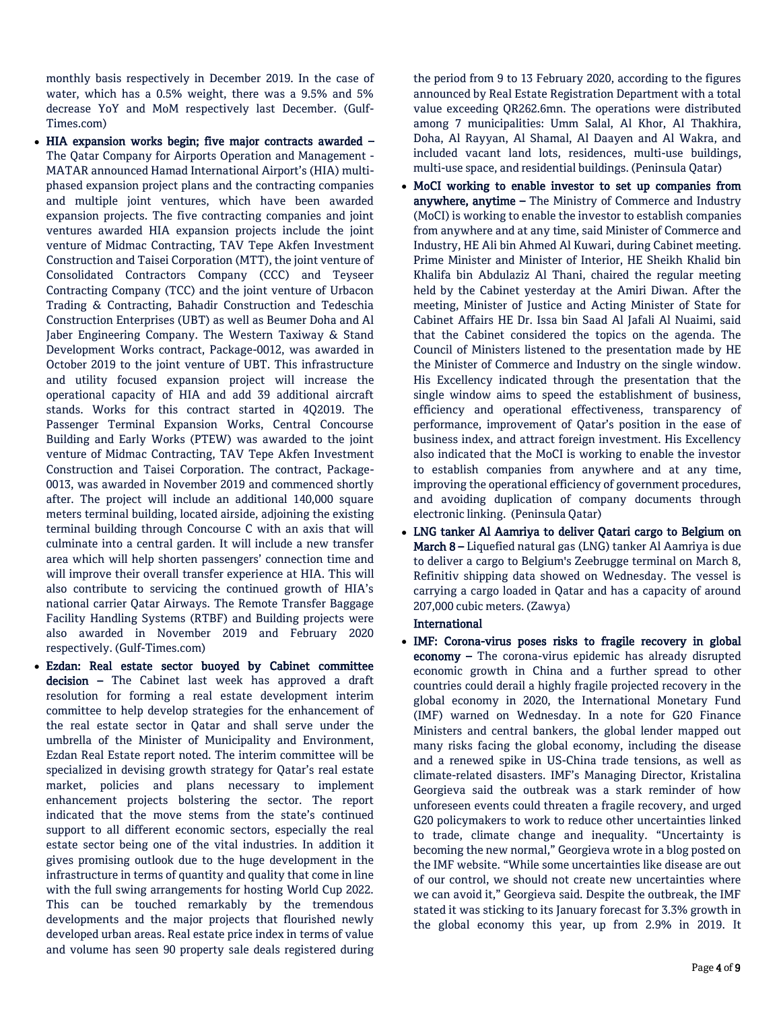monthly basis respectively in December 2019. In the case of water, which has a 0.5% weight, there was a 9.5% and 5% decrease YoY and MoM respectively last December. (Gulf-Times.com)

- HIA expansion works begin; five major contracts awarded The Qatar Company for Airports Operation and Management - MATAR announced Hamad International Airport's (HIA) multiphased expansion project plans and the contracting companies and multiple joint ventures, which have been awarded expansion projects. The five contracting companies and joint ventures awarded HIA expansion projects include the joint venture of Midmac Contracting, TAV Tepe Akfen Investment Construction and Taisei Corporation (MTT), the joint venture of Consolidated Contractors Company (CCC) and Teyseer Contracting Company (TCC) and the joint venture of Urbacon Trading & Contracting, Bahadir Construction and Tedeschia Construction Enterprises (UBT) as well as Beumer Doha and Al Jaber Engineering Company. The Western Taxiway & Stand Development Works contract, Package-0012, was awarded in October 2019 to the joint venture of UBT. This infrastructure and utility focused expansion project will increase the operational capacity of HIA and add 39 additional aircraft stands. Works for this contract started in 4Q2019. The Passenger Terminal Expansion Works, Central Concourse Building and Early Works (PTEW) was awarded to the joint venture of Midmac Contracting, TAV Tepe Akfen Investment Construction and Taisei Corporation. The contract, Package-0013, was awarded in November 2019 and commenced shortly after. The project will include an additional 140,000 square meters terminal building, located airside, adjoining the existing terminal building through Concourse C with an axis that will culminate into a central garden. It will include a new transfer area which will help shorten passengers' connection time and will improve their overall transfer experience at HIA. This will also contribute to servicing the continued growth of HIA's national carrier Qatar Airways. The Remote Transfer Baggage Facility Handling Systems (RTBF) and Building projects were also awarded in November 2019 and February 2020 respectively. (Gulf-Times.com)
- Ezdan: Real estate sector buoyed by Cabinet committee decision - The Cabinet last week has approved a draft resolution for forming a real estate development interim committee to help develop strategies for the enhancement of the real estate sector in Qatar and shall serve under the umbrella of the Minister of Municipality and Environment, Ezdan Real Estate report noted. The interim committee will be specialized in devising growth strategy for Qatar's real estate market, policies and plans necessary to implement enhancement projects bolstering the sector. The report indicated that the move stems from the state's continued support to all different economic sectors, especially the real estate sector being one of the vital industries. In addition it gives promising outlook due to the huge development in the infrastructure in terms of quantity and quality that come in line with the full swing arrangements for hosting World Cup 2022. This can be touched remarkably by the tremendous developments and the major projects that flourished newly developed urban areas. Real estate price index in terms of value and volume has seen 90 property sale deals registered during

the period from 9 to 13 February 2020, according to the figures announced by Real Estate Registration Department with a total value exceeding QR262.6mn. The operations were distributed among 7 municipalities: Umm Salal, Al Khor, Al Thakhira, Doha, Al Rayyan, Al Shamal, Al Daayen and Al Wakra, and included vacant land lots, residences, multi-use buildings, multi-use space, and residential buildings. (Peninsula Qatar)

- MoCI working to enable investor to set up companies from anywhere, anytime - The Ministry of Commerce and Industry (MoCI) is working to enable the investor to establish companies from anywhere and at any time, said Minister of Commerce and Industry, HE Ali bin Ahmed Al Kuwari, during Cabinet meeting. Prime Minister and Minister of Interior, HE Sheikh Khalid bin Khalifa bin Abdulaziz Al Thani, chaired the regular meeting held by the Cabinet yesterday at the Amiri Diwan. After the meeting, Minister of Justice and Acting Minister of State for Cabinet Affairs HE Dr. Issa bin Saad Al Jafali Al Nuaimi, said that the Cabinet considered the topics on the agenda. The Council of Ministers listened to the presentation made by HE the Minister of Commerce and Industry on the single window. His Excellency indicated through the presentation that the single window aims to speed the establishment of business, efficiency and operational effectiveness, transparency of performance, improvement of Qatar's position in the ease of business index, and attract foreign investment. His Excellency also indicated that the MoCI is working to enable the investor to establish companies from anywhere and at any time, improving the operational efficiency of government procedures, and avoiding duplication of company documents through electronic linking. (Peninsula Qatar)
- LNG tanker Al Aamriya to deliver Qatari cargo to Belgium on March 8 – Liquefied natural gas (LNG) tanker Al Aamriya is due to deliver a cargo to Belgium's Zeebrugge terminal on March 8, Refinitiv shipping data showed on Wednesday. The vessel is carrying a cargo loaded in Qatar and has a capacity of around 207,000 cubic meters. (Zawya)

## International

 IMF: Corona-virus poses risks to fragile recovery in global economy – The corona-virus epidemic has already disrupted economic growth in China and a further spread to other countries could derail a highly fragile projected recovery in the global economy in 2020, the International Monetary Fund (IMF) warned on Wednesday. In a note for G20 Finance Ministers and central bankers, the global lender mapped out many risks facing the global economy, including the disease and a renewed spike in US-China trade tensions, as well as climate-related disasters. IMF's Managing Director, Kristalina Georgieva said the outbreak was a stark reminder of how unforeseen events could threaten a fragile recovery, and urged G20 policymakers to work to reduce other uncertainties linked to trade, climate change and inequality. "Uncertainty is becoming the new normal," Georgieva wrote in a blog posted on the IMF website. "While some uncertainties like disease are out of our control, we should not create new uncertainties where we can avoid it," Georgieva said. Despite the outbreak, the IMF stated it was sticking to its January forecast for 3.3% growth in the global economy this year, up from 2.9% in 2019. It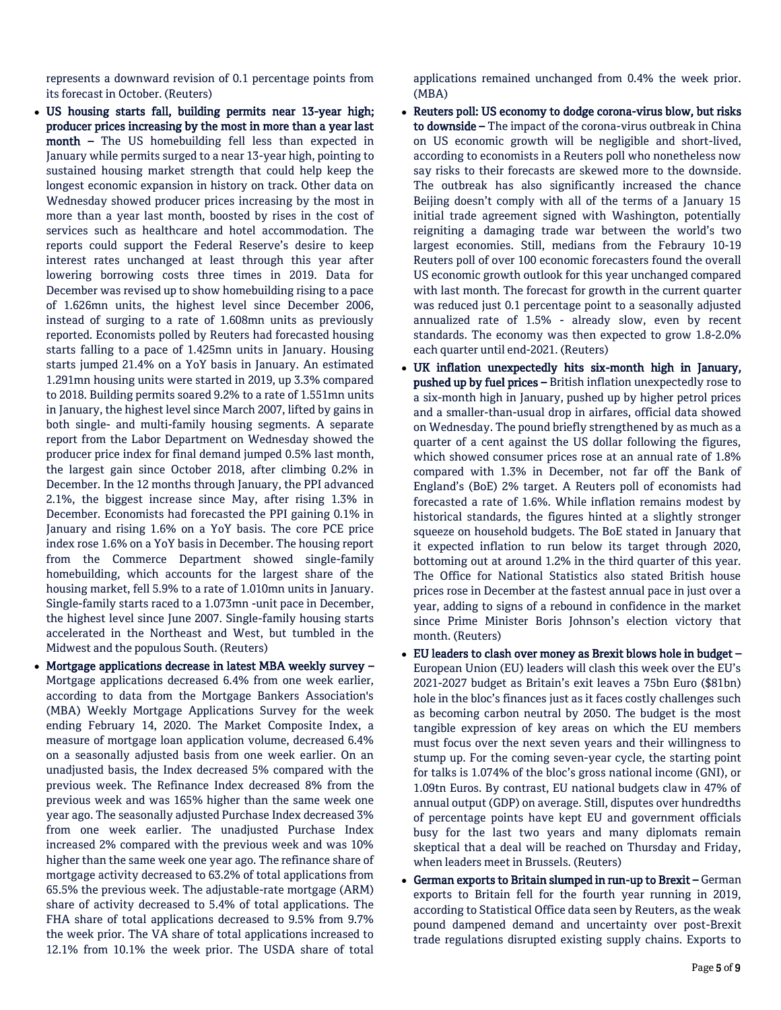represents a downward revision of 0.1 percentage points from its forecast in October. (Reuters)

- US housing starts fall, building permits near 13-year high; producer prices increasing by the most in more than a year last month – The US homebuilding fell less than expected in January while permits surged to a near 13-year high, pointing to sustained housing market strength that could help keep the longest economic expansion in history on track. Other data on Wednesday showed producer prices increasing by the most in more than a year last month, boosted by rises in the cost of services such as healthcare and hotel accommodation. The reports could support the Federal Reserve's desire to keep interest rates unchanged at least through this year after lowering borrowing costs three times in 2019. Data for December was revised up to show homebuilding rising to a pace of 1.626mn units, the highest level since December 2006, instead of surging to a rate of 1.608mn units as previously reported. Economists polled by Reuters had forecasted housing starts falling to a pace of 1.425mn units in January. Housing starts jumped 21.4% on a YoY basis in January. An estimated 1.291mn housing units were started in 2019, up 3.3% compared to 2018. Building permits soared 9.2% to a rate of 1.551mn units in January, the highest level since March 2007, lifted by gains in both single- and multi-family housing segments. A separate report from the Labor Department on Wednesday showed the producer price index for final demand jumped 0.5% last month, the largest gain since October 2018, after climbing 0.2% in December. In the 12 months through January, the PPI advanced 2.1%, the biggest increase since May, after rising 1.3% in December. Economists had forecasted the PPI gaining 0.1% in January and rising 1.6% on a YoY basis. The core PCE price index rose 1.6% on a YoY basis in December. The housing report from the Commerce Department showed single-family homebuilding, which accounts for the largest share of the housing market, fell 5.9% to a rate of 1.010mn units in January. Single-family starts raced to a 1.073mn -unit pace in December, the highest level since June 2007. Single-family housing starts accelerated in the Northeast and West, but tumbled in the Midwest and the populous South. (Reuters)
- Mortgage applications decrease in latest MBA weekly survey Mortgage applications decreased 6.4% from one week earlier, according to data from the Mortgage Bankers Association's (MBA) Weekly Mortgage Applications Survey for the week ending February 14, 2020. The Market Composite Index, a measure of mortgage loan application volume, decreased 6.4% on a seasonally adjusted basis from one week earlier. On an unadjusted basis, the Index decreased 5% compared with the previous week. The Refinance Index decreased 8% from the previous week and was 165% higher than the same week one year ago. The seasonally adjusted Purchase Index decreased 3% from one week earlier. The unadjusted Purchase Index increased 2% compared with the previous week and was 10% higher than the same week one year ago. The refinance share of mortgage activity decreased to 63.2% of total applications from 65.5% the previous week. The adjustable-rate mortgage (ARM) share of activity decreased to 5.4% of total applications. The FHA share of total applications decreased to 9.5% from 9.7% the week prior. The VA share of total applications increased to 12.1% from 10.1% the week prior. The USDA share of total

applications remained unchanged from 0.4% the week prior. (MBA)

- Reuters poll: US economy to dodge corona-virus blow, but risks to downside - The impact of the corona-virus outbreak in China on US economic growth will be negligible and short-lived, according to economists in a Reuters poll who nonetheless now say risks to their forecasts are skewed more to the downside. The outbreak has also significantly increased the chance Beijing doesn't comply with all of the terms of a January 15 initial trade agreement signed with Washington, potentially reigniting a damaging trade war between the world's two largest economies. Still, medians from the Febraury 10-19 Reuters poll of over 100 economic forecasters found the overall US economic growth outlook for this year unchanged compared with last month. The forecast for growth in the current quarter was reduced just 0.1 percentage point to a seasonally adjusted annualized rate of 1.5% - already slow, even by recent standards. The economy was then expected to grow 1.8-2.0% each quarter until end-2021. (Reuters)
- UK inflation unexpectedly hits six-month high in January, pushed up by fuel prices – British inflation unexpectedly rose to a six-month high in January, pushed up by higher petrol prices and a smaller-than-usual drop in airfares, official data showed on Wednesday. The pound briefly strengthened by as much as a quarter of a cent against the US dollar following the figures, which showed consumer prices rose at an annual rate of 1.8% compared with 1.3% in December, not far off the Bank of England's (BoE) 2% target. A Reuters poll of economists had forecasted a rate of 1.6%. While inflation remains modest by historical standards, the figures hinted at a slightly stronger squeeze on household budgets. The BoE stated in January that it expected inflation to run below its target through 2020, bottoming out at around 1.2% in the third quarter of this year. The Office for National Statistics also stated British house prices rose in December at the fastest annual pace in just over a year, adding to signs of a rebound in confidence in the market since Prime Minister Boris Johnson's election victory that month. (Reuters)
- EU leaders to clash over money as Brexit blows hole in budget European Union (EU) leaders will clash this week over the EU's 2021-2027 budget as Britain's exit leaves a 75bn Euro (\$81bn) hole in the bloc's finances just as it faces costly challenges such as becoming carbon neutral by 2050. The budget is the most tangible expression of key areas on which the EU members must focus over the next seven years and their willingness to stump up. For the coming seven-year cycle, the starting point for talks is 1.074% of the bloc's gross national income (GNI), or 1.09tn Euros. By contrast, EU national budgets claw in 47% of annual output (GDP) on average. Still, disputes over hundredths of percentage points have kept EU and government officials busy for the last two years and many diplomats remain skeptical that a deal will be reached on Thursday and Friday, when leaders meet in Brussels. (Reuters)
- German exports to Britain slumped in run-up to Brexit German exports to Britain fell for the fourth year running in 2019, according to Statistical Office data seen by Reuters, as the weak pound dampened demand and uncertainty over post-Brexit trade regulations disrupted existing supply chains. Exports to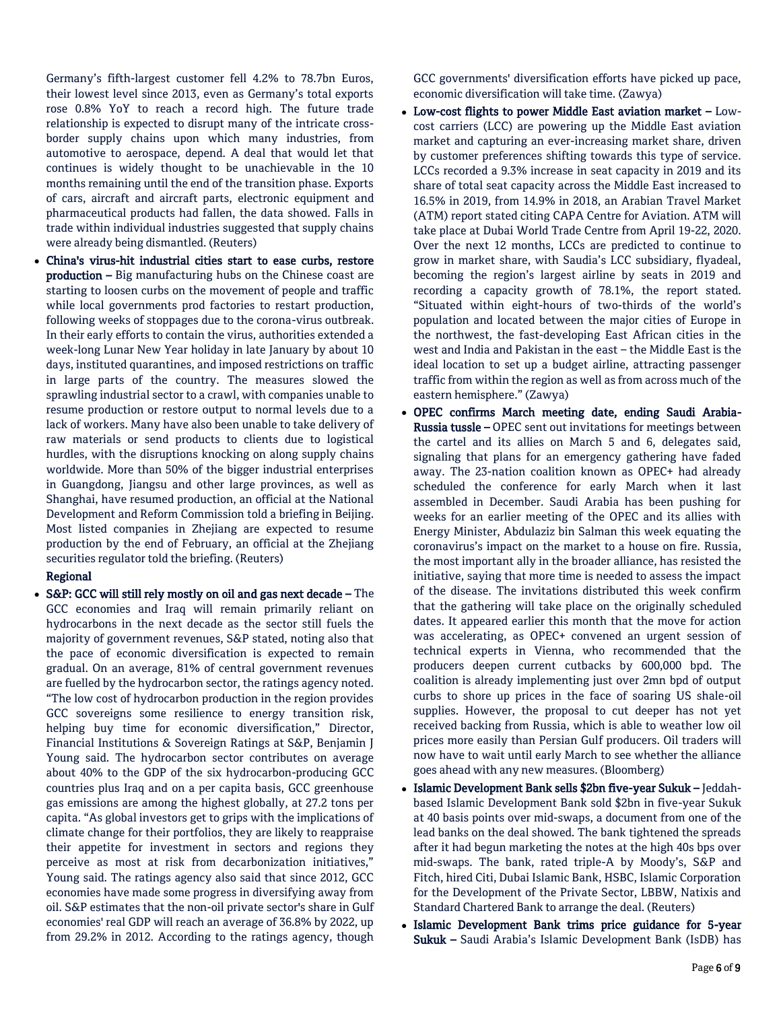Germany's fifth-largest customer fell 4.2% to 78.7bn Euros, their lowest level since 2013, even as Germany's total exports rose 0.8% YoY to reach a record high. The future trade relationship is expected to disrupt many of the intricate crossborder supply chains upon which many industries, from automotive to aerospace, depend. A deal that would let that continues is widely thought to be unachievable in the 10 months remaining until the end of the transition phase. Exports of cars, aircraft and aircraft parts, electronic equipment and pharmaceutical products had fallen, the data showed. Falls in trade within individual industries suggested that supply chains were already being dismantled. (Reuters)

 China's virus-hit industrial cities start to ease curbs, restore production – Big manufacturing hubs on the Chinese coast are starting to loosen curbs on the movement of people and traffic while local governments prod factories to restart production, following weeks of stoppages due to the corona-virus outbreak. In their early efforts to contain the virus, authorities extended a week-long Lunar New Year holiday in late January by about 10 days, instituted quarantines, and imposed restrictions on traffic in large parts of the country. The measures slowed the sprawling industrial sector to a crawl, with companies unable to resume production or restore output to normal levels due to a lack of workers. Many have also been unable to take delivery of raw materials or send products to clients due to logistical hurdles, with the disruptions knocking on along supply chains worldwide. More than 50% of the bigger industrial enterprises in Guangdong, Jiangsu and other large provinces, as well as Shanghai, have resumed production, an official at the National Development and Reform Commission told a briefing in Beijing. Most listed companies in Zhejiang are expected to resume production by the end of February, an official at the Zhejiang securities regulator told the briefing. (Reuters)

## Regional

 S&P: GCC will still rely mostly on oil and gas next decade – The GCC economies and Iraq will remain primarily reliant on hydrocarbons in the next decade as the sector still fuels the majority of government revenues, S&P stated, noting also that the pace of economic diversification is expected to remain gradual. On an average, 81% of central government revenues are fuelled by the hydrocarbon sector, the ratings agency noted. "The low cost of hydrocarbon production in the region provides GCC sovereigns some resilience to energy transition risk, helping buy time for economic diversification," Director, Financial Institutions & Sovereign Ratings at S&P, Benjamin J Young said. The hydrocarbon sector contributes on average about 40% to the GDP of the six hydrocarbon-producing GCC countries plus Iraq and on a per capita basis, GCC greenhouse gas emissions are among the highest globally, at 27.2 tons per capita. "As global investors get to grips with the implications of climate change for their portfolios, they are likely to reappraise their appetite for investment in sectors and regions they perceive as most at risk from decarbonization initiatives," Young said. The ratings agency also said that since 2012, GCC economies have made some progress in diversifying away from oil. S&P estimates that the non-oil private sector's share in Gulf economies' real GDP will reach an average of 36.8% by 2022, up from 29.2% in 2012. According to the ratings agency, though

GCC governments' diversification efforts have picked up pace, economic diversification will take time. (Zawya)

- Low-cost flights to power Middle East aviation market Lowcost carriers (LCC) are powering up the Middle East aviation market and capturing an ever-increasing market share, driven by customer preferences shifting towards this type of service. LCCs recorded a 9.3% increase in seat capacity in 2019 and its share of total seat capacity across the Middle East increased to 16.5% in 2019, from 14.9% in 2018, an Arabian Travel Market (ATM) report stated citing CAPA Centre for Aviation. ATM will take place at Dubai World Trade Centre from April 19-22, 2020. Over the next 12 months, LCCs are predicted to continue to grow in market share, with Saudia's LCC subsidiary, flyadeal, becoming the region's largest airline by seats in 2019 and recording a capacity growth of 78.1%, the report stated. "Situated within eight-hours of two-thirds of the world's population and located between the major cities of Europe in the northwest, the fast-developing East African cities in the west and India and Pakistan in the east – the Middle East is the ideal location to set up a budget airline, attracting passenger traffic from within the region as well as from across much of the eastern hemisphere." (Zawya)
- OPEC confirms March meeting date, ending Saudi Arabia-Russia tussle – OPEC sent out invitations for meetings between the cartel and its allies on March 5 and 6, delegates said, signaling that plans for an emergency gathering have faded away. The 23-nation coalition known as OPEC+ had already scheduled the conference for early March when it last assembled in December. Saudi Arabia has been pushing for weeks for an earlier meeting of the OPEC and its allies with Energy Minister, Abdulaziz bin Salman this week equating the coronavirus's impact on the market to a house on fire. Russia, the most important ally in the broader alliance, has resisted the initiative, saying that more time is needed to assess the impact of the disease. The invitations distributed this week confirm that the gathering will take place on the originally scheduled dates. It appeared earlier this month that the move for action was accelerating, as OPEC+ convened an urgent session of technical experts in Vienna, who recommended that the producers deepen current cutbacks by 600,000 bpd. The coalition is already implementing just over 2mn bpd of output curbs to shore up prices in the face of soaring US shale-oil supplies. However, the proposal to cut deeper has not yet received backing from Russia, which is able to weather low oil prices more easily than Persian Gulf producers. Oil traders will now have to wait until early March to see whether the alliance goes ahead with any new measures. (Bloomberg)
- Islamic Development Bank sells \$2bn five-year Sukuk Jeddahbased Islamic Development Bank sold \$2bn in five-year Sukuk at 40 basis points over mid-swaps, a document from one of the lead banks on the deal showed. The bank tightened the spreads after it had begun marketing the notes at the high 40s bps over mid-swaps. The bank, rated triple-A by Moody's, S&P and Fitch, hired Citi, Dubai Islamic Bank, HSBC, Islamic Corporation for the Development of the Private Sector, LBBW, Natixis and Standard Chartered Bank to arrange the deal. (Reuters)
- Islamic Development Bank trims price guidance for 5-year Sukuk – Saudi Arabia's Islamic Development Bank (IsDB) has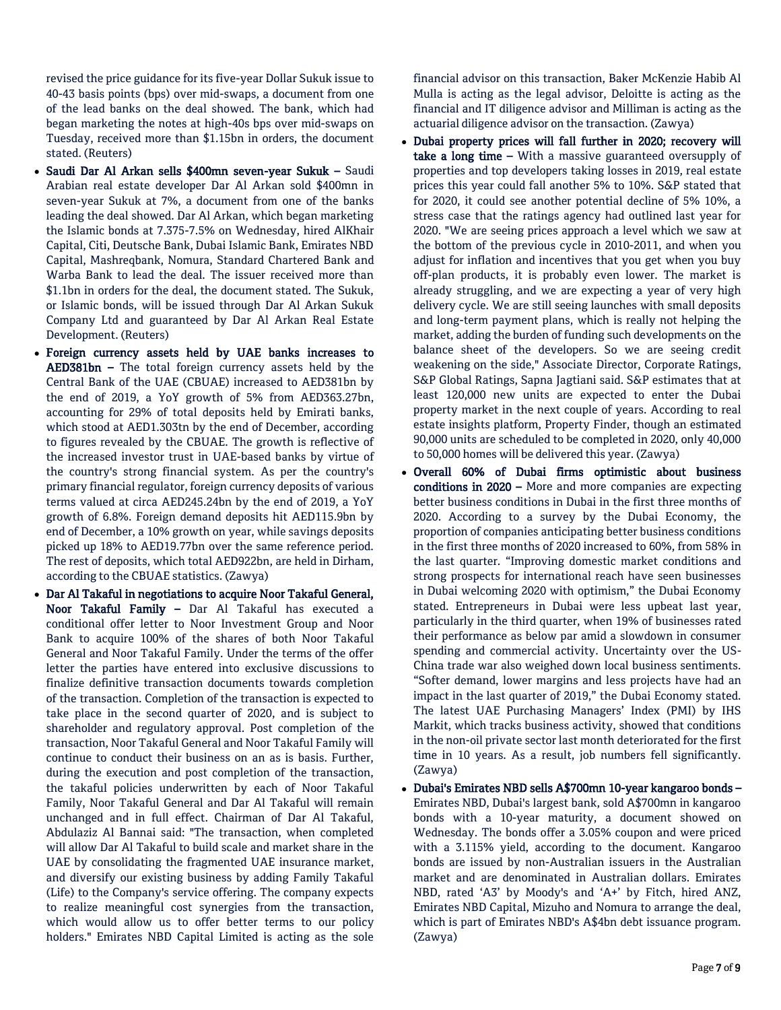revised the price guidance for its five-year Dollar Sukuk issue to 40-43 basis points (bps) over mid-swaps, a document from one of the lead banks on the deal showed. The bank, which had began marketing the notes at high-40s bps over mid-swaps on Tuesday, received more than \$1.15bn in orders, the document stated. (Reuters)

- Saudi Dar Al Arkan sells \$400mn seven-year Sukuk Saudi Arabian real estate developer Dar Al Arkan sold \$400mn in seven-year Sukuk at 7%, a document from one of the banks leading the deal showed. Dar Al Arkan, which began marketing the Islamic bonds at 7.375-7.5% on Wednesday, hired AlKhair Capital, Citi, Deutsche Bank, Dubai Islamic Bank, Emirates NBD Capital, Mashreqbank, Nomura, Standard Chartered Bank and Warba Bank to lead the deal. The issuer received more than \$1.1bn in orders for the deal, the document stated. The Sukuk, or Islamic bonds, will be issued through Dar Al Arkan Sukuk Company Ltd and guaranteed by Dar Al Arkan Real Estate Development. (Reuters)
- Foreign currency assets held by UAE banks increases to AED381bn – The total foreign currency assets held by the Central Bank of the UAE (CBUAE) increased to AED381bn by the end of 2019, a YoY growth of 5% from AED363.27bn, accounting for 29% of total deposits held by Emirati banks, which stood at AED1.303tn by the end of December, according to figures revealed by the CBUAE. The growth is reflective of the increased investor trust in UAE-based banks by virtue of the country's strong financial system. As per the country's primary financial regulator, foreign currency deposits of various terms valued at circa AED245.24bn by the end of 2019, a YoY growth of 6.8%. Foreign demand deposits hit AED115.9bn by end of December, a 10% growth on year, while savings deposits picked up 18% to AED19.77bn over the same reference period. The rest of deposits, which total AED922bn, are held in Dirham, according to the CBUAE statistics. (Zawya)
- Dar Al Takaful in negotiations to acquire Noor Takaful General, Noor Takaful Family – Dar Al Takaful has executed a conditional offer letter to Noor Investment Group and Noor Bank to acquire 100% of the shares of both Noor Takaful General and Noor Takaful Family. Under the terms of the offer letter the parties have entered into exclusive discussions to finalize definitive transaction documents towards completion of the transaction. Completion of the transaction is expected to take place in the second quarter of 2020, and is subject to shareholder and regulatory approval. Post completion of the transaction, Noor Takaful General and Noor Takaful Family will continue to conduct their business on an as is basis. Further, during the execution and post completion of the transaction, the takaful policies underwritten by each of Noor Takaful Family, Noor Takaful General and Dar Al Takaful will remain unchanged and in full effect. Chairman of Dar Al Takaful, Abdulaziz Al Bannai said: "The transaction, when completed will allow Dar Al Takaful to build scale and market share in the UAE by consolidating the fragmented UAE insurance market, and diversify our existing business by adding Family Takaful (Life) to the Company's service offering. The company expects to realize meaningful cost synergies from the transaction, which would allow us to offer better terms to our policy holders." Emirates NBD Capital Limited is acting as the sole

financial advisor on this transaction, Baker McKenzie Habib Al Mulla is acting as the legal advisor, Deloitte is acting as the financial and IT diligence advisor and Milliman is acting as the actuarial diligence advisor on the transaction. (Zawya)

- Dubai property prices will fall further in 2020; recovery will take a long time  $-$  With a massive guaranteed oversupply of properties and top developers taking losses in 2019, real estate prices this year could fall another 5% to 10%. S&P stated that for 2020, it could see another potential decline of 5% 10%, a stress case that the ratings agency had outlined last year for 2020. "We are seeing prices approach a level which we saw at the bottom of the previous cycle in 2010-2011, and when you adjust for inflation and incentives that you get when you buy off-plan products, it is probably even lower. The market is already struggling, and we are expecting a year of very high delivery cycle. We are still seeing launches with small deposits and long-term payment plans, which is really not helping the market, adding the burden of funding such developments on the balance sheet of the developers. So we are seeing credit weakening on the side," Associate Director, Corporate Ratings, S&P Global Ratings, Sapna Jagtiani said. S&P estimates that at least 120,000 new units are expected to enter the Dubai property market in the next couple of years. According to real estate insights platform, Property Finder, though an estimated 90,000 units are scheduled to be completed in 2020, only 40,000 to 50,000 homes will be delivered this year. (Zawya)
- Overall 60% of Dubai firms optimistic about business conditions in 2020 – More and more companies are expecting better business conditions in Dubai in the first three months of 2020. According to a survey by the Dubai Economy, the proportion of companies anticipating better business conditions in the first three months of 2020 increased to 60%, from 58% in the last quarter. "Improving domestic market conditions and strong prospects for international reach have seen businesses in Dubai welcoming 2020 with optimism," the Dubai Economy stated. Entrepreneurs in Dubai were less upbeat last year, particularly in the third quarter, when 19% of businesses rated their performance as below par amid a slowdown in consumer spending and commercial activity. Uncertainty over the US-China trade war also weighed down local business sentiments. "Softer demand, lower margins and less projects have had an impact in the last quarter of 2019," the Dubai Economy stated. The latest UAE Purchasing Managers' Index (PMI) by IHS Markit, which tracks business activity, showed that conditions in the non-oil private sector last month deteriorated for the first time in 10 years. As a result, job numbers fell significantly. (Zawya)
- Dubai's Emirates NBD sells A\$700mn 10-year kangaroo bonds Emirates NBD, Dubai's largest bank, sold A\$700mn in kangaroo bonds with a 10-year maturity, a document showed on Wednesday. The bonds offer a 3.05% coupon and were priced with a 3.115% yield, according to the document. Kangaroo bonds are issued by non-Australian issuers in the Australian market and are denominated in Australian dollars. Emirates NBD, rated 'A3' by Moody's and 'A+' by Fitch, hired ANZ, Emirates NBD Capital, Mizuho and Nomura to arrange the deal, which is part of Emirates NBD's A\$4bn debt issuance program. (Zawya)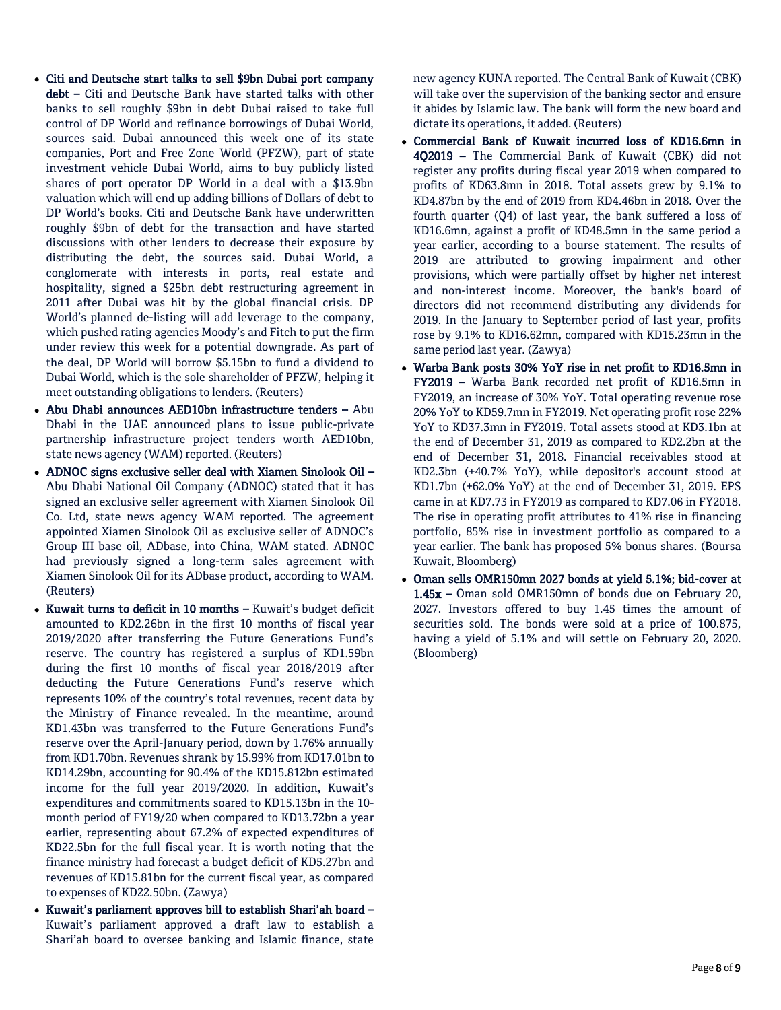- Citi and Deutsche start talks to sell \$9bn Dubai port company debt – Citi and Deutsche Bank have started talks with other banks to sell roughly \$9bn in debt Dubai raised to take full control of DP World and refinance borrowings of Dubai World, sources said. Dubai announced this week one of its state companies, Port and Free Zone World (PFZW), part of state investment vehicle Dubai World, aims to buy publicly listed shares of port operator DP World in a deal with a \$13.9bn valuation which will end up adding billions of Dollars of debt to DP World's books. Citi and Deutsche Bank have underwritten roughly \$9bn of debt for the transaction and have started discussions with other lenders to decrease their exposure by distributing the debt, the sources said. Dubai World, a conglomerate with interests in ports, real estate and hospitality, signed a \$25bn debt restructuring agreement in 2011 after Dubai was hit by the global financial crisis. DP World's planned de-listing will add leverage to the company, which pushed rating agencies Moody's and Fitch to put the firm under review this week for a potential downgrade. As part of the deal, DP World will borrow \$5.15bn to fund a dividend to Dubai World, which is the sole shareholder of PFZW, helping it meet outstanding obligations to lenders. (Reuters)
- Abu Dhabi announces AED10bn infrastructure tenders Abu Dhabi in the UAE announced plans to issue public-private partnership infrastructure project tenders worth AED10bn, state news agency (WAM) reported. (Reuters)
- ADNOC signs exclusive seller deal with Xiamen Sinolook Oil Abu Dhabi National Oil Company (ADNOC) stated that it has signed an exclusive seller agreement with Xiamen Sinolook Oil Co. Ltd, state news agency WAM reported. The agreement appointed Xiamen Sinolook Oil as exclusive seller of ADNOC's Group III base oil, ADbase, into China, WAM stated. ADNOC had previously signed a long-term sales agreement with Xiamen Sinolook Oil for its ADbase product, according to WAM. (Reuters)
- Kuwait turns to deficit in 10 months Kuwait's budget deficit amounted to KD2.26bn in the first 10 months of fiscal year 2019/2020 after transferring the Future Generations Fund's reserve. The country has registered a surplus of KD1.59bn during the first 10 months of fiscal year 2018/2019 after deducting the Future Generations Fund's reserve which represents 10% of the country's total revenues, recent data by the Ministry of Finance revealed. In the meantime, around KD1.43bn was transferred to the Future Generations Fund's reserve over the April-January period, down by 1.76% annually from KD1.70bn. Revenues shrank by 15.99% from KD17.01bn to KD14.29bn, accounting for 90.4% of the KD15.812bn estimated income for the full year 2019/2020. In addition, Kuwait's expenditures and commitments soared to KD15.13bn in the 10 month period of FY19/20 when compared to KD13.72bn a year earlier, representing about 67.2% of expected expenditures of KD22.5bn for the full fiscal year. It is worth noting that the finance ministry had forecast a budget deficit of KD5.27bn and revenues of KD15.81bn for the current fiscal year, as compared to expenses of KD22.50bn. (Zawya)
- Kuwait's parliament approves bill to establish Shari'ah board Kuwait's parliament approved a draft law to establish a Shari'ah board to oversee banking and Islamic finance, state

new agency KUNA reported. The Central Bank of Kuwait (CBK) will take over the supervision of the banking sector and ensure it abides by Islamic law. The bank will form the new board and dictate its operations, it added. (Reuters)

- Commercial Bank of Kuwait incurred loss of KD16.6mn in 4Q2019 – The Commercial Bank of Kuwait (CBK) did not register any profits during fiscal year 2019 when compared to profits of KD63.8mn in 2018. Total assets grew by 9.1% to KD4.87bn by the end of 2019 from KD4.46bn in 2018. Over the fourth quarter (Q4) of last year, the bank suffered a loss of KD16.6mn, against a profit of KD48.5mn in the same period a year earlier, according to a bourse statement. The results of 2019 are attributed to growing impairment and other provisions, which were partially offset by higher net interest and non-interest income. Moreover, the bank's board of directors did not recommend distributing any dividends for 2019. In the January to September period of last year, profits rose by 9.1% to KD16.62mn, compared with KD15.23mn in the same period last year. (Zawya)
- Warba Bank posts 30% YoY rise in net profit to KD16.5mn in FY2019 – Warba Bank recorded net profit of KD16.5mn in FY2019, an increase of 30% YoY. Total operating revenue rose 20% YoY to KD59.7mn in FY2019. Net operating profit rose 22% YoY to KD37.3mn in FY2019. Total assets stood at KD3.1bn at the end of December 31, 2019 as compared to KD2.2bn at the end of December 31, 2018. Financial receivables stood at KD2.3bn (+40.7% YoY), while depositor's account stood at KD1.7bn (+62.0% YoY) at the end of December 31, 2019. EPS came in at KD7.73 in FY2019 as compared to KD7.06 in FY2018. The rise in operating profit attributes to 41% rise in financing portfolio, 85% rise in investment portfolio as compared to a year earlier. The bank has proposed 5% bonus shares. (Boursa Kuwait, Bloomberg)
- Oman sells OMR150mn 2027 bonds at yield 5.1%; bid-cover at 1.45x – Oman sold OMR150mn of bonds due on February 20, 2027. Investors offered to buy 1.45 times the amount of securities sold. The bonds were sold at a price of 100.875, having a yield of 5.1% and will settle on February 20, 2020. (Bloomberg)